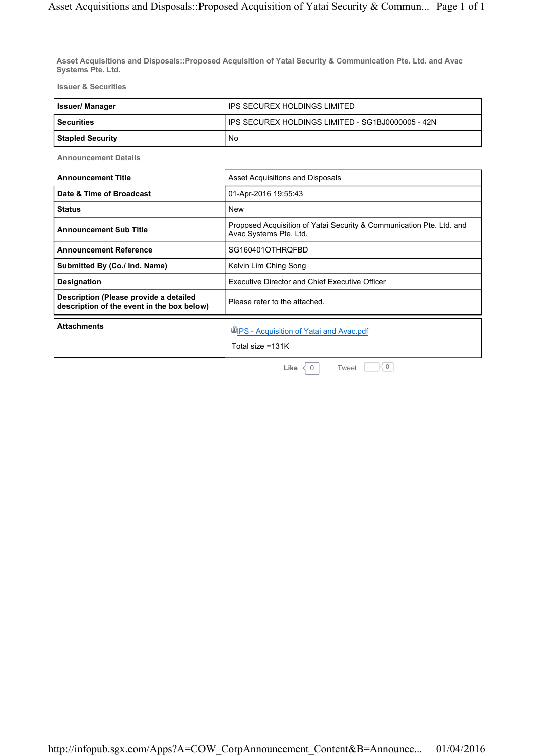**Asset Acquisitions and Disposals::Proposed Acquisition of Yatai Security & Communication Pte. Ltd. and Avac Systems Pte. Ltd.**

**Issuer & Securities**

| <b>Issuer/Manager</b>   | IPS SECUREX HOLDINGS LIMITED                        |
|-------------------------|-----------------------------------------------------|
| l Securities            | I IPS SECUREX HOLDINGS LIMITED - SG1BJ0000005 - 42N |
| <b>Stapled Security</b> | No                                                  |

**Announcement Details**

| Date & Time of Broadcast<br>01-Apr-2016 19:55:43<br><b>Status</b><br><b>New</b><br><b>Announcement Sub Title</b><br>Avac Systems Pte. Ltd.<br><b>Announcement Reference</b><br>SG160401OTHRQFBD<br>Submitted By (Co./ Ind. Name)<br>Kelvin Lim Ching Song<br><b>Executive Director and Chief Executive Officer</b><br><b>Designation</b><br>Description (Please provide a detailed<br>Please refer to the attached.<br>description of the event in the box below)<br><b>Attachments</b><br>UPS - Acquisition of Yatai and Avac.pdf | <b>Announcement Title</b> | Asset Acquisitions and Disposals                                     |
|------------------------------------------------------------------------------------------------------------------------------------------------------------------------------------------------------------------------------------------------------------------------------------------------------------------------------------------------------------------------------------------------------------------------------------------------------------------------------------------------------------------------------------|---------------------------|----------------------------------------------------------------------|
|                                                                                                                                                                                                                                                                                                                                                                                                                                                                                                                                    |                           |                                                                      |
|                                                                                                                                                                                                                                                                                                                                                                                                                                                                                                                                    |                           |                                                                      |
|                                                                                                                                                                                                                                                                                                                                                                                                                                                                                                                                    |                           | Proposed Acquisition of Yatai Security & Communication Pte. Ltd. and |
|                                                                                                                                                                                                                                                                                                                                                                                                                                                                                                                                    |                           |                                                                      |
|                                                                                                                                                                                                                                                                                                                                                                                                                                                                                                                                    |                           |                                                                      |
|                                                                                                                                                                                                                                                                                                                                                                                                                                                                                                                                    |                           |                                                                      |
|                                                                                                                                                                                                                                                                                                                                                                                                                                                                                                                                    |                           |                                                                      |
| Total size =131K                                                                                                                                                                                                                                                                                                                                                                                                                                                                                                                   |                           |                                                                      |

**Like**  $\begin{array}{c} |0| & \text{Two} \\ |0| & \text{Two} \end{array}$